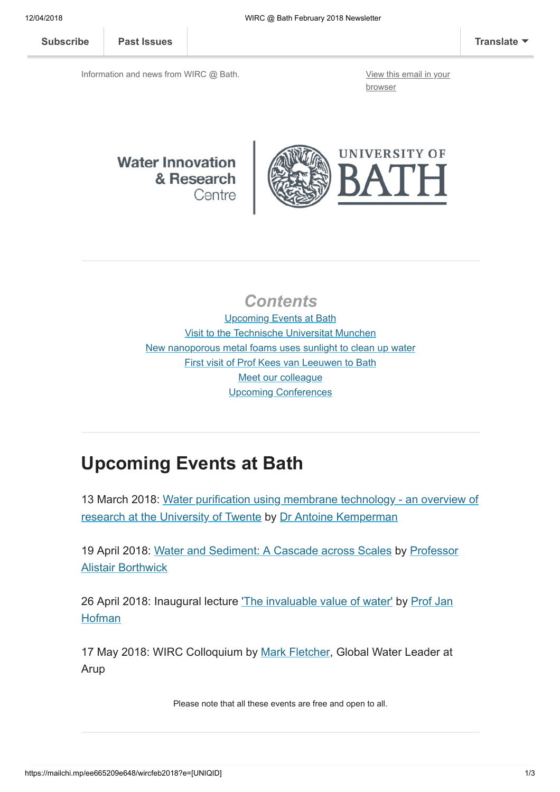[Subscribe](http://eepurl.com/bKjQGL) [Past Issues](https://us12.campaign-archive.com/home/?u=d7614ea34eb388bb6f0caa07a&id=d688d5b543) [Translate](javascript:;)

Information and news from WIRC @ Bath. [View this email in your](https://mailchi.mp/ee665209e648/wircfeb2018?e=[UNIQID])

browser

#### **Water Innovation** & Research Centre



#### **Contents**

Upcoming Events at Bath [Visit to the Technische Universitat Munchen](#page-0-0) [New nanoporous metal foams uses sunlight to clean up water](#page-1-0) [First visit of Prof Kees van Leeuwen to Bath](#page-1-1) [Meet our colleague](#page-1-2) [Upcoming Conferences](#page-2-0)

# Upcoming Events at Bath

[13 March 2018: Water purification using membrane technology - an overview of](http://www.bath.ac.uk/research/centres/wirc/events/water-purification.html) research at the University of Twente by [Dr Antoine Kemperman](https://www.utwente.nl/en/tnw/emi/EMI-team/staff/kemperman%20website%202011/)

[19 April 2018: W](https://www.eng.ed.ac.uk/about/people/prof-alistair-borthwick)[ater and Sediment: A Cascade across Scale](http://www.bath.ac.uk/research/centres/wirc/events/water-and-sediment.html)[s by Professor](https://www.eng.ed.ac.uk/about/people/prof-alistair-borthwick) Alistair Borthwick

[26 April 2018: Inaugural lecture](http://www.bath.ac.uk/chem-eng/people/hofman/) ['The invaluable value of water'](http://www.bath.ac.uk/research/centres/wirc/events/invaluable-value-of-water.html) [by Prof Jan](http://www.bath.ac.uk/chem-eng/people/hofman/) **Hofman** 

17 May 2018: WIRC Colloquium by [Mark Fletcher,](https://www.arup.com/our-firm/mark-fletcher) Global Water Leader at Arup

<span id="page-0-0"></span>Please note that all these events are free and open to all.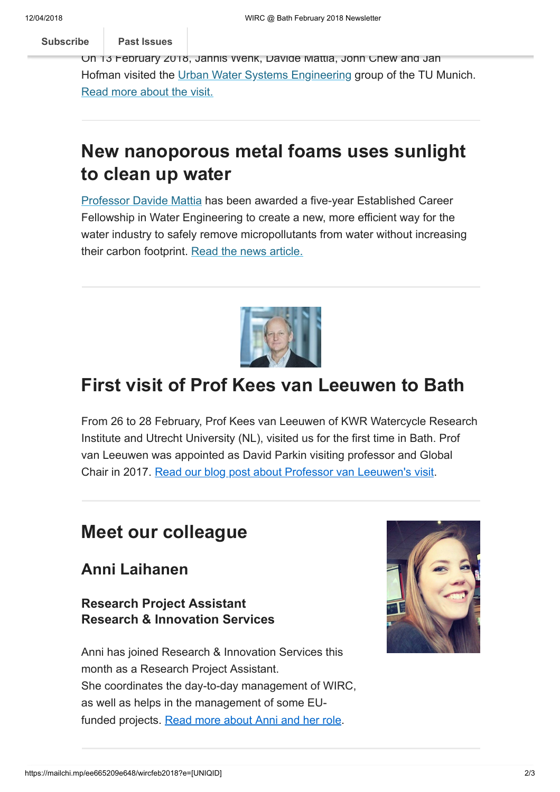[Subscribe](http://eepurl.com/bKjQGL) **Past Issues** 

 $\bf{p}$ i[sit to the T](https://us12.campaign-archive.com/home/?u=d7614ea34eb388bb6f0caa07a&id=d688d5b543)echnische Universität München Universität München Universität München Universität München München Universität München Universität München Universität München Universität München Universität München Uni

On 13 February 2018, Jannis Wenk, Davide Mattia, John Chew and Jan Hofman visited the [Urban Water Systems Engineering](http://www.sww.bgu.tum.de/startseite/) group of the TU Munich. [Read more about the visit.](http://blogs.bath.ac.uk/water/2018/02/14/visit-to-the-technische-universitat-munchen/)

## <span id="page-1-0"></span>New nanoporous metal foams uses sunlight to clean up water

[Professor Davide Mattia](http://www.bath.ac.uk/profiles/faculty-of-engineering-design-associate-dean-research-davide-mattia/) has been awarded a five-year Established Career Fellowship in Water Engineering to create a new, more efficient way for the water industry to safely remove micropollutants from water without increasing their carbon footprint. [Read the news article.](http://www.bath.ac.uk/research/news/2018/02/13/new-nanoporous-metal-foams-uses-sunlight-to-clean-up-water)



## <span id="page-1-1"></span>First visit of Prof Kees van Leeuwen to Bath

From 26 to 28 February, Prof Kees van Leeuwen of KWR Watercycle Research Institute and Utrecht University (NL), visited us for the first time in Bath. Prof van Leeuwen was appointed as David Parkin visiting professor and Global Chair in 2017. [Read our blog post about Professor van Leeuwen's visit](http://blogs.bath.ac.uk/water/2018/02/28/first-visit-of-prof-kees-van-leeuwen-to-bath/).

## <span id="page-1-2"></span>Meet our colleague

#### Anni Laihanen

Research Project Assistant Research & Innovation Services

Anni has joined Research & Innovation Services this month as a Research Project Assistant. She coordinates the day-to-day management of WIRC, as well as helps in the management of some EU-funded projects. [Read more about Anni and her role.](http://www.bath.ac.uk/profiles/research-project-assistant-anni-laihanen/)